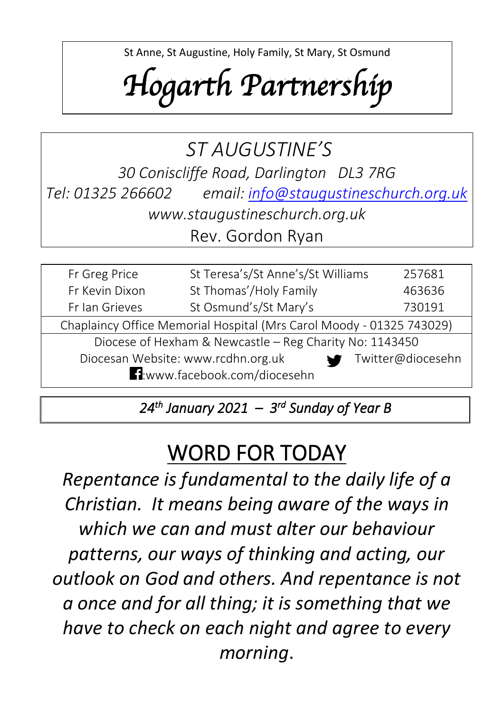St Anne, St Augustine, Holy Family, St Mary, St Osmund

# *Hogarth Partnership*

St Teresa, St Thomas Aquinas, SS William & Francis De Sales

### *ST AUGUSTINE'S 30 Coniscliffe Road, Darlington DL3 7RG Tel: 01325 266602 email: [info@staugustineschurch.org.uk](mailto:info@staugustineschurch.org.uk) www.staugustineschurch.org.uk* Rev. Gordon Ryan

| Fr Greg Price                                                                    | St Teresa's/St Anne's/St Williams<br>257681 |  |  |  |
|----------------------------------------------------------------------------------|---------------------------------------------|--|--|--|
| Fr Kevin Dixon                                                                   | St Thomas'/Holy Family<br>463636            |  |  |  |
| Fr Ian Grieves                                                                   | St Osmund's/St Mary's<br>730191             |  |  |  |
| Chaplaincy Office Memorial Hospital (Mrs Carol Moody - 01325 743029)             |                                             |  |  |  |
| Diocese of Hexham & Newcastle - Reg Charity No: 1143450                          |                                             |  |  |  |
| Diocesan Website: www.rcdhn.org.uk<br>Twitter@diocesehn<br>$\blacktriangleright$ |                                             |  |  |  |
| H:www.facebook.com/diocesehn                                                     |                                             |  |  |  |

 *24th January 2021 – 3 rd Sunday of Year B* 

# WORD FOR TODAY

*Repentance is fundamental to the daily life of a Christian. It means being aware of the ways in which we can and must alter our behaviour patterns, our ways of thinking and acting, our outlook on God and others. And repentance is not a once and for all thing; it is something that we have to check on each night and agree to every morning*.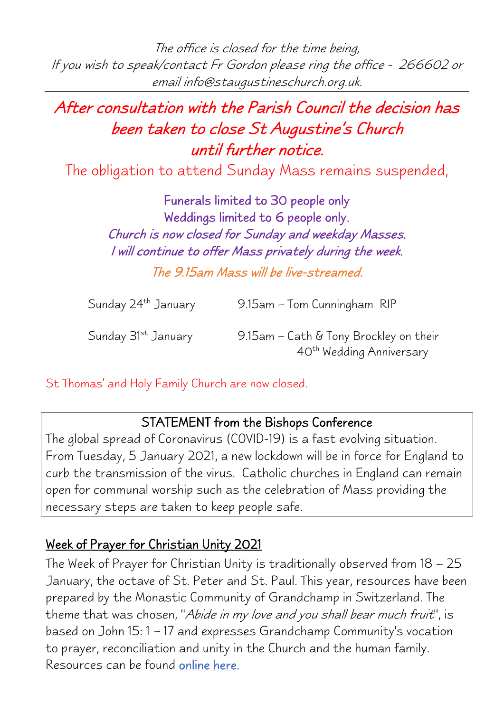The office is closed for the time being, If you wish to speak/contact Fr Gordon please ring the office - <sup>266602</sup> or email info@staugustineschurch.org.uk.

## After consultation with the Parish Council the decision has been taken to close St Augustine's Church until further notice.

The obligation to attend Sunday Mass remains suspended,

Funerals limited to 30 people only Weddings limited to 6 people only. Church is now closed for Sunday and weekday Masses. I will continue to offer Mass privately during the week. The 9.15am Mass will be live-streamed.

Sunday 24<sup>th</sup> January 9.15am – Tom Cunningham RIP

Sunday  $31^{st}$  January 9.15am – Cath & Tony Brockley on their 40th Wedding Anniversary

St Thomas' and Holy Family Church are now closed.

#### STATEMENT from the Bishops Conference

The global spread of Coronavirus (COVID-19) is a fast evolving situation. From Tuesday, 5 January 2021, a new lockdown will be in force for England to curb the transmission of the virus. Catholic churches in England can remain open for communal worship such as the celebration of Mass providing the necessary steps are taken to keep people safe.

#### Week of Prayer for Christian Unity 2021

The Week of Prayer for Christian Unity is traditionally observed from 18 – 25 January, the octave of St. Peter and St. Paul. This year, resources have been prepared by the Monastic Community of Grandchamp in Switzerland. The theme that was chosen, "Abide in my love and you shall bear much fruit", is based on John 15: 1 – 17 and expresses Grandchamp Community's vocation to prayer, reconciliation and unity in the Church and the human family. Resources can be found [online here.](https://ctbi.org.uk/week-of-prayer-for-christian-unity-2021/)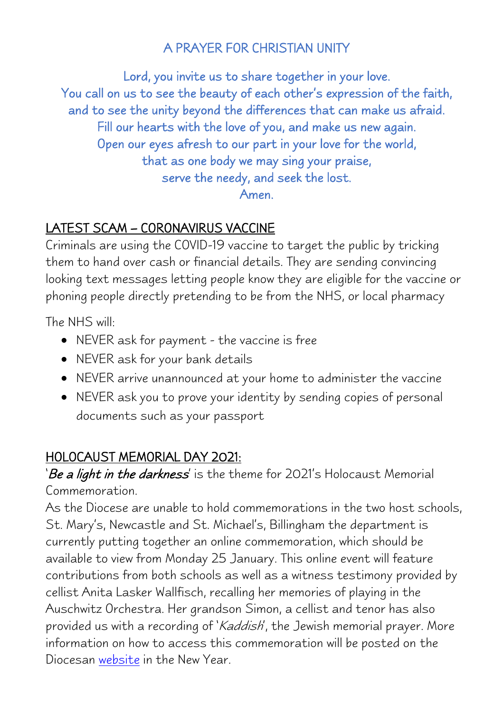#### A PRAYER FOR CHRISTIAN UNITY

Lord, you invite us to share together in your love. You call on us to see the beauty of each other's expression of the faith, and to see the unity beyond the differences that can make us afraid. Fill our hearts with the love of you, and make us new again. Open our eyes afresh to our part in your love for the world, that as one body we may sing your praise, serve the needy, and seek the lost. Amen.

#### LATEST SCAM – CORONAVIRUS VACCINE

Criminals are using the COVID-19 vaccine to target the public by tricking them to hand over cash or financial details. They are sending convincing looking text messages letting people know they are eligible for the vaccine or phoning people directly pretending to be from the NHS, or local pharmacy

The NHS will:

- NEVER ask for payment the vaccine is free
- NEVER ask for your bank details
- NEVER arrive unannounced at your home to administer the vaccine
- NEVER ask you to prove your identity by sending copies of personal documents such as your passport

#### HOLOCAUST MEMORIAL DAY 2021:

'Be a light in the darkness' is the theme for 2021's Holocaust Memorial Commemoration.

As the Diocese are unable to hold commemorations in the two host schools, St. Mary's, Newcastle and St. Michael's, Billingham the department is currently putting together an online commemoration, which should be available to view from Monday 25 January. This online event will feature contributions from both schools as well as a witness testimony provided by cellist Anita Lasker Wallfisch, recalling her memories of playing in the Auschwitz Orchestra. Her grandson Simon, a cellist and tenor has also provided us with a recording of 'Kaddish', the Jewish memorial prayer. More information on how to access this commemoration will be posted on the Diocesan [website](http://www.rcdhn.org.uk/interfaith/interfaithconf.php) in the New Year.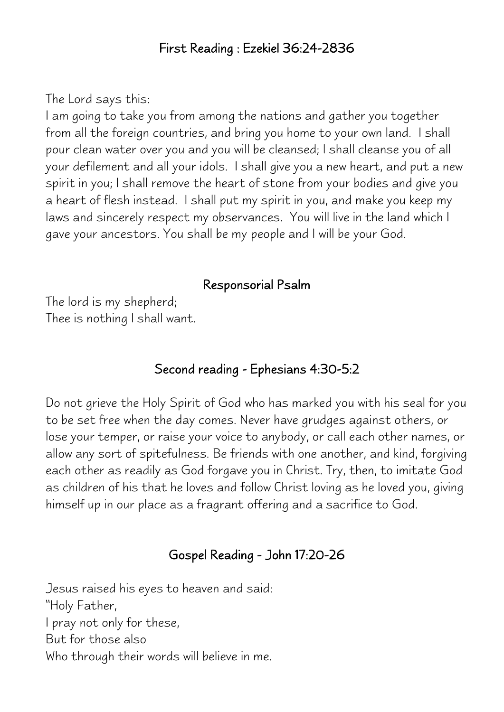#### First Reading : Ezekiel 36:24-2836

The Lord says this:

I am going to take you from among the nations and gather you together from all the foreign countries, and bring you home to your own land. I shall pour clean water over you and you will be cleansed; I shall cleanse you of all your defilement and all your idols. I shall give you a new heart, and put a new spirit in you; I shall remove the heart of stone from your bodies and give you a heart of flesh instead. I shall put my spirit in you, and make you keep my laws and sincerely respect my observances. You will live in the land which I gave your ancestors. You shall be my people and I will be your God.

#### Responsorial Psalm

The lord is my shepherd; Thee is nothing I shall want.

#### Second reading - Ephesians 4:30-5:2

Do not grieve the Holy Spirit of God who has marked you with his seal for you to be set free when the day comes. Never have grudges against others, or lose your temper, or raise your voice to anybody, or call each other names, or allow any sort of spitefulness. Be friends with one another, and kind, forgiving each other as readily as God forgave you in Christ. Try, then, to imitate God as children of his that he loves and follow Christ loving as he loved you, giving himself up in our place as a fragrant offering and a sacrifice to God.

#### Gospel Reading - John 17:20-26

Jesus raised his eyes to heaven and said: "Holy Father, I pray not only for these, But for those also Who through their words will believe in me.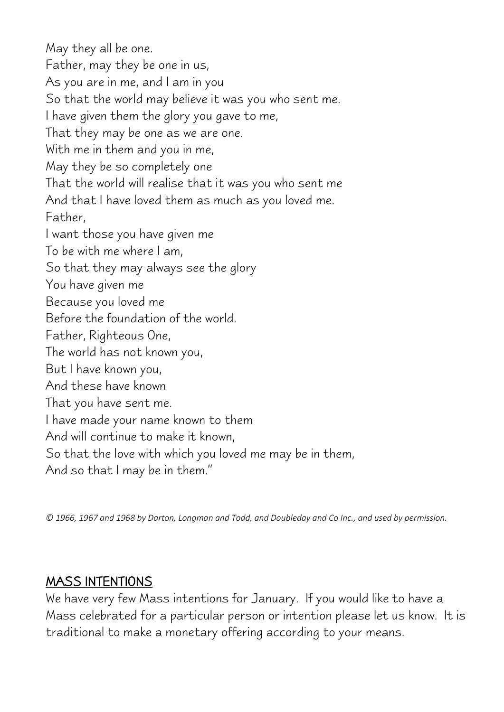May they all be one. Father, may they be one in us, As you are in me, and I am in you So that the world may believe it was you who sent me. I have given them the glory you gave to me, That they may be one as we are one. With me in them and you in me, May they be so completely one That the world will realise that it was you who sent me And that I have loved them as much as you loved me. Father, I want those you have given me To be with me where I am, So that they may always see the glory You have given me Because you loved me Before the foundation of the world. Father, Righteous One, The world has not known you, But I have known you, And these have known That you have sent me. I have made your name known to them And will continue to make it known, So that the love with which you loved me may be in them, And so that I may be in them."

*© 1966, 1967 and 1968 by Darton, Longman and Todd, and Doubleday and Co Inc., and used by permission.*

#### MASS INTENTIONS

We have very few Mass intentions for January. If you would like to have a Mass celebrated for a particular person or intention please let us know. It is traditional to make a monetary offering according to your means.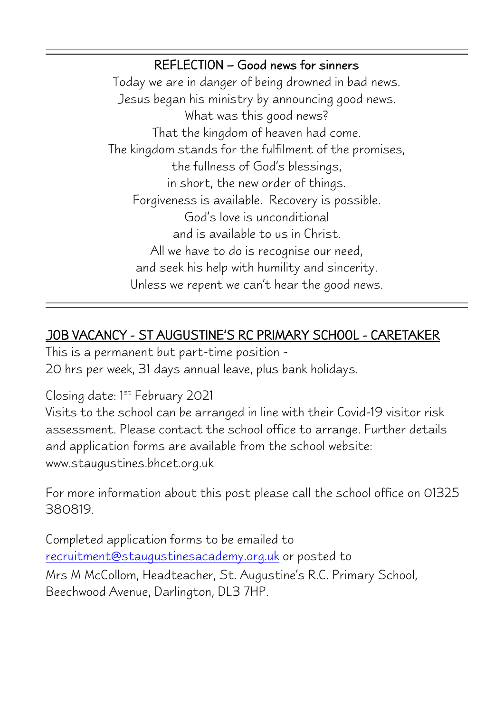#### REFLECTION – Good news for sinners

Today we are in danger of being drowned in bad news. Jesus began his ministry by announcing good news. What was this good news? That the kingdom of heaven had come. The kingdom stands for the fulfilment of the promises, the fullness of God's blessings, in short, the new order of things. Forgiveness is available. Recovery is possible. God's love is unconditional and is available to us in Christ. All we have to do is recognise our need, and seek his help with humility and sincerity. Unless we repent we can't hear the good news.

#### JOB VACANCY - ST AUGUSTINE'S RC PRIMARY SCHOOL - CARETAKER

 $\overline{\phantom{a}}$ 

This is a permanent but part-time position - 20 hrs per week, 31 days annual leave, plus bank holidays.

#### Closing date: 1st February 2021

Visits to the school can be arranged in line with their Covid-19 visitor risk assessment. Please contact the school office to arrange. Further details and application forms are available from the school website: www.staugustines.bhcet.org.uk

For more information about this post please call the school office on 01325 380819.

Completed application forms to be emailed to [recruitment@staugustinesacademy.org.uk](mailto:enquiries@staugustinesacademy.org.uk) or posted to Mrs M McCollom, Headteacher, St. Augustine's R.C. Primary School, Beechwood Avenue, Darlington, DL3 7HP.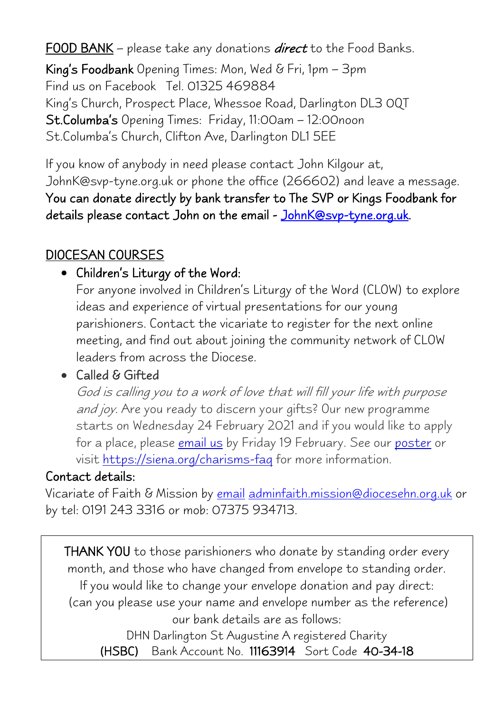FOOD BANK – please take any donations *direct* to the Food Banks.

King's Foodbank Opening Times: Mon, Wed & Fri, 1pm – 3pm Find us on Facebook Tel. 01325 469884 King's Church, Prospect Place, Whessoe Road, Darlington DL3 0QT St.Columba's Opening Times: Friday, 11:00am – 12:00noon St.Columba's Church, Clifton Ave, Darlington DL1 5EE

If you know of anybody in need please contact John Kilgour at, JohnK@svp-tyne.org.uk or phone the office (266602) and leave a message. You can donate directly by bank transfer to The SVP or Kings Foodbank for details please contact John on the email - [JohnK@svp-tyne.org.uk.](mailto:JohnK@svp-tyne.org.uk)

#### DIOCESAN COURSES

#### • Children's Liturgy of the Word:

For anyone involved in Children's Liturgy of the Word (CLOW) to explore ideas and experience of virtual presentations for our young parishioners. Contact the vicariate to register for the next online meeting, and find out about joining the community network of CLOW leaders from across the Diocese.

#### • Called & Gifted

God is calling you to a work of love that will fill your life with purpose and joy. Are you ready to discern your gifts? Our new programme starts on Wednesday 24 February 2021 and if you would like to apply for a place, please *[email us](mailto:adminfaith.mission@diocesehn.org.uk)* by Friday 19 February. See our *[poster](http://www.rcdhn.org.uk/communications/2021/feb/Called%20and%20Gifted%20Feb%202021%20FINAL.pdf)* or visit <https://siena.org/charisms-faq> for more information.

#### Contact details:

Vicariate of Faith & Mission by [email](mailto:adminfaith.mission@diocesehn.org.uk) [adminfaith.mission@diocesehn.org.uk](mailto:adminfaith.mission@diocesehn.org.uk) or by tel: 0191 243 3316 or mob: 07375 934713.

THANK YOU to those parishioners who donate by standing order every month, and those who have changed from envelope to standing order. If you would like to change your envelope donation and pay direct: (can you please use your name and envelope number as the reference) our bank details are as follows:

DHN Darlington St Augustine A registered Charity (HSBC) Bank Account No. 11163914 Sort Code 40-34-18